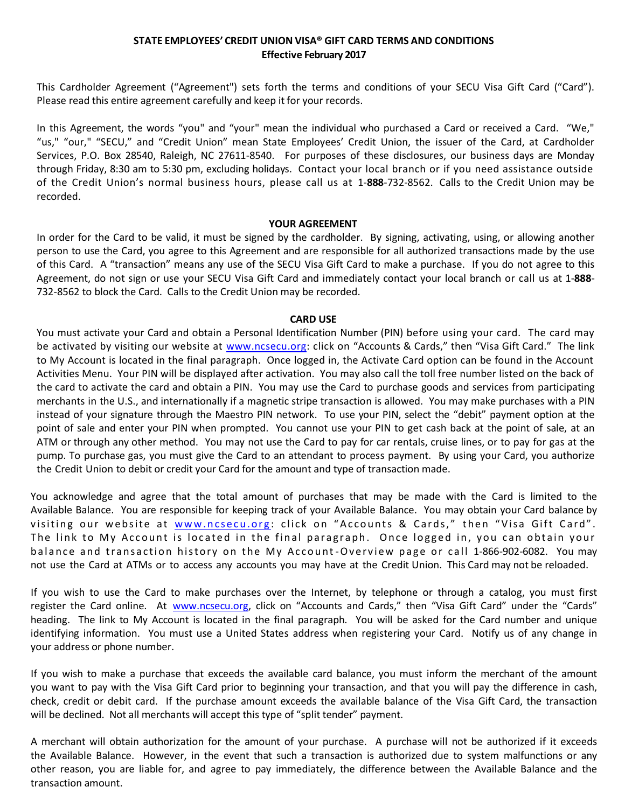# **STATE EMPLOYEES' CREDIT UNION VISA® GIFT CARD TERMS AND CONDITIONS Effective February 2017**

This Cardholder Agreement ("Agreement") sets forth the terms and conditions of your SECU Visa Gift Card ("Card"). Please read this entire agreement carefully and keep it for your records.

In this Agreement, the words "you" and "your" mean the individual who purchased a Card or received a Card. "We," "us," "our," "SECU," and "Credit Union" mean State Employees' Credit Union, the issuer of the Card, at Cardholder Services, P.O. Box 28540, Raleigh, NC 27611-8540. For purposes of these disclosures, our business days are Monday through Friday, 8:30 am to 5:30 pm, excluding holidays. Contact your local branch or if you need assistance outside of the Credit Union's normal business hours, please call us at 1-**888**-732-8562. Calls to the Credit Union may be recorded.

### **YOUR AGREEMENT**

In order for the Card to be valid, it must be signed by the cardholder. By signing, activating, using, or allowing another person to use the Card, you agree to this Agreement and are responsible for all authorized transactions made by the use of this Card. A "transaction" means any use of the SECU Visa Gift Card to make a purchase. If you do not agree to this Agreement, do not sign or use your SECU Visa Gift Card and immediately contact your local branch or call us at 1-**888**- 732-8562 to block the Card. Calls to the Credit Union may be recorded.

## **CARD USE**

You must activate your Card and obtain a Personal Identification Number (PIN) before using your card. The card may be activated by visiting our website at [www.ncsecu.org:](http://www.ncsecu.org/) click on "Accounts & Cards," then "Visa Gift Card." The link to My Account is located in the final paragraph. Once logged in, the Activate Card option can be found in the Account Activities Menu. Your PIN will be displayed after activation. You may also call the toll free number listed on the back of the card to activate the card and obtain a PIN. You may use the Card to purchase goods and services from participating merchants in the U.S., and internationally if a magnetic stripe transaction is allowed. You may make purchases with a PIN instead of your signature through the Maestro PIN network. To use your PIN, select the "debit" payment option at the point of sale and enter your PIN when prompted. You cannot use your PIN to get cash back at the point of sale, at an ATM or through any other method. You may not use the Card to pay for car rentals, cruise lines, or to pay for gas at the pump. To purchase gas, you must give the Card to an attendant to process payment. By using your Card, you authorize the Credit Union to debit or credit your Card for the amount and type of transaction made.

You acknowledge and agree that the total amount of purchases that may be made with the Card is limited to the Available Balance. You are responsible for keeping track of your Available Balance. You may obtain your Card balance by visiting our website at www.ncsecu.org: click on "Accounts & Cards," then "Visa Gift Card". The link to My Account is located in the final paragraph. Once logged in, you can obtain your balance and transaction history on the My Account-Overview page or call 1-866-902-6082. You may not use the Card at ATMs or to access any accounts you may have at the Credit Union. This Card may not be reloaded.

If you wish to use the Card to make purchases over the Internet, by telephone or through a catalog, you must first register the Card online. At [www.ncsecu.org,](http://www.ncsecu.org/) click on "Accounts and Cards," then "Visa Gift Card" under the "Cards" heading. The link to My Account is located in the final paragraph. You will be asked for the Card number and unique identifying information. You must use a United States address when registering your Card. Notify us of any change in your address or phone number.

If you wish to make a purchase that exceeds the available card balance, you must inform the merchant of the amount you want to pay with the Visa Gift Card prior to beginning your transaction, and that you will pay the difference in cash, check, credit or debit card. If the purchase amount exceeds the available balance of the Visa Gift Card, the transaction will be declined. Not all merchants will accept this type of "split tender" payment.

A merchant will obtain authorization for the amount of your purchase. A purchase will not be authorized if it exceeds the Available Balance. However, in the event that such a transaction is authorized due to system malfunctions or any other reason, you are liable for, and agree to pay immediately, the difference between the Available Balance and the transaction amount.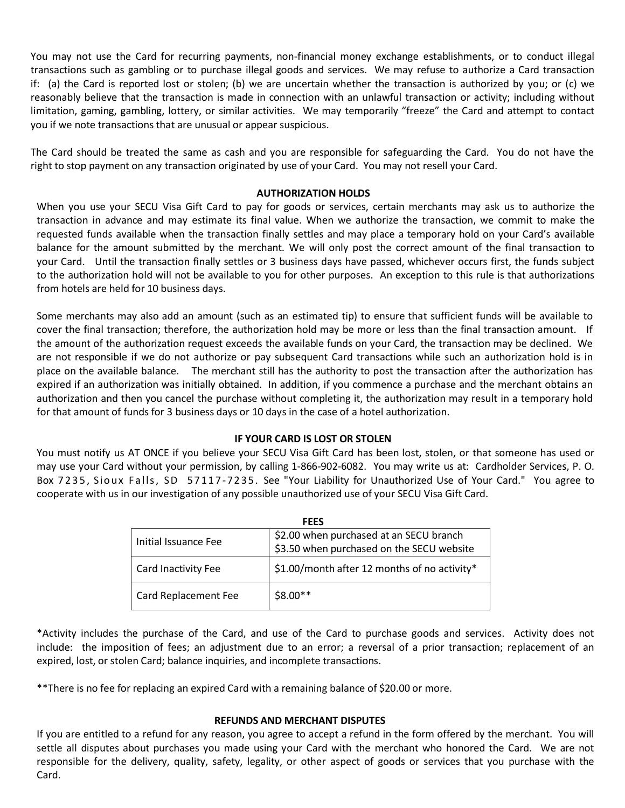You may not use the Card for recurring payments, non-financial money exchange establishments, or to conduct illegal transactions such as gambling or to purchase illegal goods and services. We may refuse to authorize a Card transaction if: (a) the Card is reported lost or stolen; (b) we are uncertain whether the transaction is authorized by you; or (c) we reasonably believe that the transaction is made in connection with an unlawful transaction or activity; including without limitation, gaming, gambling, lottery, or similar activities. We may temporarily "freeze" the Card and attempt to contact you if we note transactions that are unusual or appear suspicious.

The Card should be treated the same as cash and you are responsible for safeguarding the Card. You do not have the right to stop payment on any transaction originated by use of your Card. You may not resell your Card.

## **AUTHORIZATION HOLDS**

When you use your SECU Visa Gift Card to pay for goods or services, certain merchants may ask us to authorize the transaction in advance and may estimate its final value. When we authorize the transaction, we commit to make the requested funds available when the transaction finally settles and may place a temporary hold on your Card's available balance for the amount submitted by the merchant. We will only post the correct amount of the final transaction to your Card. Until the transaction finally settles or 3 business days have passed, whichever occurs first, the funds subject to the authorization hold will not be available to you for other purposes. An exception to this rule is that authorizations from hotels are held for 10 business days.

Some merchants may also add an amount (such as an estimated tip) to ensure that sufficient funds will be available to cover the final transaction; therefore, the authorization hold may be more or less than the final transaction amount. If the amount of the authorization request exceeds the available funds on your Card, the transaction may be declined. We are not responsible if we do not authorize or pay subsequent Card transactions while such an authorization hold is in place on the available balance. The merchant still has the authority to post the transaction after the authorization has expired if an authorization was initially obtained. In addition, if you commence a purchase and the merchant obtains an authorization and then you cancel the purchase without completing it, the authorization may result in a temporary hold for that amount of funds for 3 business days or 10 days in the case of a hotel authorization.

## **IF YOUR CARD IS LOST OR STOLEN**

You must notify us AT ONCE if you believe your SECU Visa Gift Card has been lost, stolen, or that someone has used or may use your Card without your permission, by calling 1-866-902-6082. You may write us at: Cardholder Services, P. O. Box 7235, Sioux Falls, SD 57117-7235. See "Your Liability for Unauthorized Use of Your Card." You agree to cooperate with us in our investigation of any possible unauthorized use of your SECU Visa Gift Card.

| <b>FEES</b>                 |                                              |
|-----------------------------|----------------------------------------------|
| Initial Issuance Fee        | \$2.00 when purchased at an SECU branch      |
|                             | \$3.50 when purchased on the SECU website    |
| <b>Card Inactivity Fee</b>  | \$1.00/month after 12 months of no activity* |
| <b>Card Replacement Fee</b> | $$8.00**$                                    |

\*Activity includes the purchase of the Card, and use of the Card to purchase goods and services. Activity does not include: the imposition of fees; an adjustment due to an error; a reversal of a prior transaction; replacement of an expired, lost, or stolen Card; balance inquiries, and incomplete transactions.

\*\*There is no fee for replacing an expired Card with a remaining balance of \$20.00 or more.

### **REFUNDS AND MERCHANT DISPUTES**

If you are entitled to a refund for any reason, you agree to accept a refund in the form offered by the merchant. You will settle all disputes about purchases you made using your Card with the merchant who honored the Card. We are not responsible for the delivery, quality, safety, legality, or other aspect of goods or services that you purchase with the Card.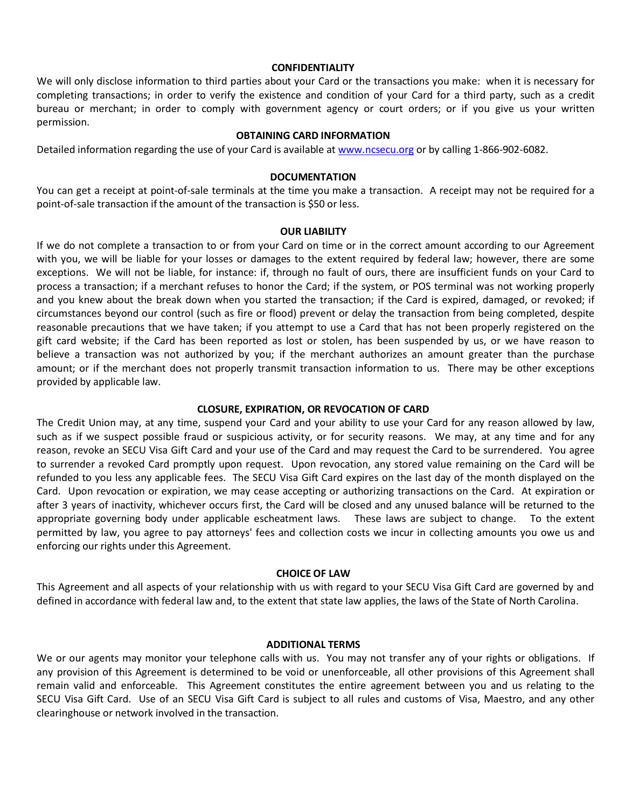#### **CONFIDENTIALITY**

We will only disclose information to third parties about your Card or the transactions you make: when it is necessary for completing transactions; in order to verify the existence and condition of your Card for a third party, such as a credit bureau or merchant; in order to comply with government agency or court orders; or if you give us your written permission.

### **OBTAINING CARD INFORMATION**

Detailed information regarding the use of your Card is available at [www.ncsecu.org](http://www.ncsecu.org/) or by calling 1-866-902-6082.

#### **DOCUMENTATION**

You can get a receipt at point-of-sale terminals at the time you make a transaction. A receipt may not be required for a point-of-sale transaction if the amount of the transaction is \$50 or less.

#### **OUR LIABILITY**

If we do not complete a transaction to or from your Card on time or in the correct amount according to our Agreement with you, we will be liable for your losses or damages to the extent required by federal law; however, there are some exceptions. We will not be liable, for instance: if, through no fault of ours, there are insufficient funds on your Card to process a transaction; if a merchant refuses to honor the Card; if the system, or POS terminal was not working properly and you knew about the break down when you started the transaction; if the Card is expired, damaged, or revoked; if circumstances beyond our control (such as fire or flood) prevent or delay the transaction from being completed, despite reasonable precautions that we have taken; if you attempt to use a Card that has not been properly registered on the gift card website; if the Card has been reported as lost or stolen, has been suspended by us, or we have reason to believe a transaction was not authorized by you; if the merchant authorizes an amount greater than the purchase amount; or if the merchant does not properly transmit transaction information to us. There may be other exceptions provided by applicable law.

### **CLOSURE, EXPIRATION, OR REVOCATION OF CARD**

The Credit Union may, at any time, suspend your Card and your ability to use your Card for any reason allowed by law, such as if we suspect possible fraud or suspicious activity, or for security reasons. We may, at any time and for any reason, revoke an SECU Visa Gift Card and your use of the Card and may request the Card to be surrendered. You agree to surrender a revoked Card promptly upon request. Upon revocation, any stored value remaining on the Card will be refunded to you less any applicable fees. The SECU Visa Gift Card expires on the last day of the month displayed on the Card. Upon revocation or expiration, we may cease accepting or authorizing transactions on the Card. At expiration or after 3 years of inactivity, whichever occurs first, the Card will be closed and any unused balance will be returned to the appropriate governing body under applicable escheatment laws. These laws are subject to change. To the extent permitted by law, you agree to pay attorneys' fees and collection costs we incur in collecting amounts you owe us and enforcing our rights under this Agreement.

#### **CHOICE OF LAW**

This Agreement and all aspects of your relationship with us with regard to your SECU Visa Gift Card are governed by and defined in accordance with federal law and, to the extent that state law applies, the laws of the State of North Carolina.

#### **ADDITIONAL TERMS**

We or our agents may monitor your telephone calls with us. You may not transfer any of your rights or obligations. If any provision of this Agreement is determined to be void or unenforceable, all other provisions of this Agreement shall remain valid and enforceable. This Agreement constitutes the entire agreement between you and us relating to the SECU Visa Gift Card. Use of an SECU Visa Gift Card is subject to all rules and customs of Visa, Maestro, and any other clearinghouse or network involved in the transaction.